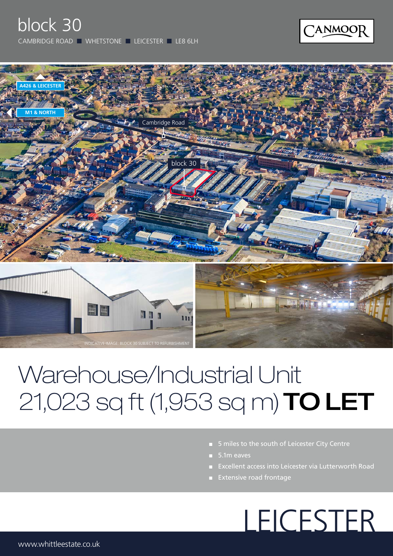



## Warehouse/Industrial Unit 21,023 sq ft (1,953 sq m) TO LET

- 5 miles to the south of Leicester City Centre
- 5.1m eaves
- Excellent access into Leicester via Lutterworth Road
- Extensive road frontage

# LEICESTER